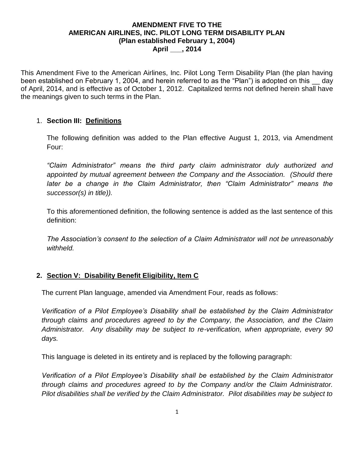#### **AMENDMENT FIVE TO THE AMERICAN AIRLINES, INC. PILOT LONG TERM DISABILITY PLAN (Plan established February 1, 2004) April \_\_\_, 2014**

This Amendment Five to the American Airlines, Inc. Pilot Long Term Disability Plan (the plan having been established on February 1, 2004, and herein referred to as the "Plan") is adopted on this day of April, 2014, and is effective as of October 1, 2012. Capitalized terms not defined herein shall have the meanings given to such terms in the Plan.

## 1. **Section III: Definitions**

The following definition was added to the Plan effective August 1, 2013, via Amendment Four:

*"Claim Administrator" means the third party claim administrator duly authorized and appointed by mutual agreement between the Company and the Association. (Should there later be a change in the Claim Administrator, then "Claim Administrator" means the successor(s) in title)).*

To this aforementioned definition, the following sentence is added as the last sentence of this definition:

*The Association's consent to the selection of a Claim Administrator will not be unreasonably withheld.*

## **2. Section V: Disability Benefit Eligibility, Item C**

The current Plan language, amended via Amendment Four, reads as follows:

*Verification of a Pilot Employee's Disability shall be established by the Claim Administrator through claims and procedures agreed to by the Company, the Association, and the Claim Administrator. Any disability may be subject to re-verification, when appropriate, every 90 days.*

This language is deleted in its entirety and is replaced by the following paragraph:

*Verification of a Pilot Employee's Disability shall be established by the Claim Administrator through claims and procedures agreed to by the Company and/or the Claim Administrator. Pilot disabilities shall be verified by the Claim Administrator. Pilot disabilities may be subject to*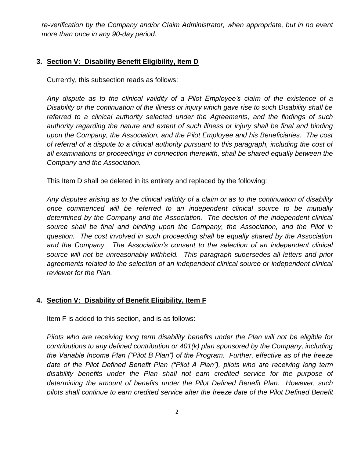*re-verification by the Company and/or Claim Administrator, when appropriate, but in no event more than once in any 90-day period.*

# **3. Section V: Disability Benefit Eligibility, Item D**

Currently, this subsection reads as follows:

*Any dispute as to the clinical validity of a Pilot Employee's claim of the existence of a Disability or the continuation of the illness or injury which gave rise to such Disability shall be referred to a clinical authority selected under the Agreements, and the findings of such authority regarding the nature and extent of such illness or injury shall be final and binding upon the Company, the Association, and the Pilot Employee and his Beneficiaries. The cost of referral of a dispute to a clinical authority pursuant to this paragraph, including the cost of all examinations or proceedings in connection therewith, shall be shared equally between the Company and the Association.*

This Item D shall be deleted in its entirety and replaced by the following:

*Any disputes arising as to the clinical validity of a claim or as to the continuation of disability once commenced will be referred to an independent clinical source to be mutually determined by the Company and the Association. The decision of the independent clinical source shall be final and binding upon the Company, the Association, and the Pilot in question. The cost involved in such proceeding shall be equally shared by the Association and the Company. The Association's consent to the selection of an independent clinical source will not be unreasonably withheld. This paragraph supersedes all letters and prior agreements related to the selection of an independent clinical source or independent clinical reviewer for the Plan.*

## **4. Section V: Disability of Benefit Eligibility, Item F**

Item F is added to this section, and is as follows:

*Pilots who are receiving long term disability benefits under the Plan will not be eligible for contributions to any defined contribution or 401(k) plan sponsored by the Company, including the Variable Income Plan ("Pilot B Plan") of the Program. Further, effective as of the freeze date of the Pilot Defined Benefit Plan ("Pilot A Plan"), pilots who are receiving long term disability benefits under the Plan shall not earn credited service for the purpose of determining the amount of benefits under the Pilot Defined Benefit Plan. However, such pilots shall continue to earn credited service after the freeze date of the Pilot Defined Benefit*